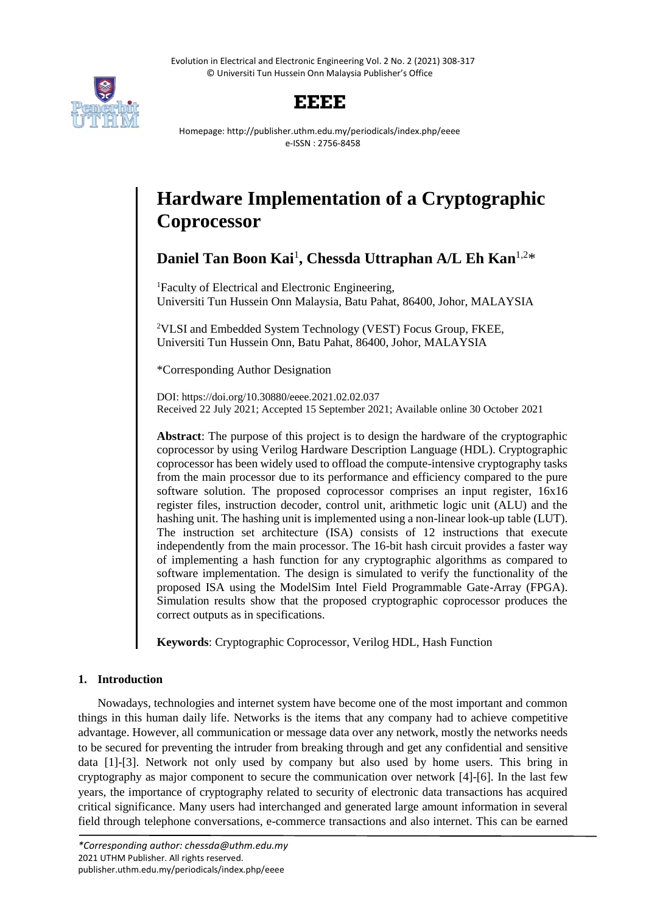Evolution in Electrical and Electronic Engineering Vol. 2 No. 2 (2021) 308-317 © Universiti Tun Hussein Onn Malaysia Publisher's Office



# **EEEE**

Homepage: http://publisher.uthm.edu.my/periodicals/index.php/eeee e-ISSN : 2756-8458

# **Hardware Implementation of a Cryptographic Coprocessor**

# **Daniel Tan Boon Kai**<sup>1</sup> **, Chessda Uttraphan A/L Eh Kan**1,2\*

<sup>1</sup>Faculty of Electrical and Electronic Engineering, Universiti Tun Hussein Onn Malaysia, Batu Pahat, 86400, Johor, MALAYSIA

<sup>2</sup>VLSI and Embedded System Technology (VEST) Focus Group, FKEE, Universiti Tun Hussein Onn, Batu Pahat, 86400, Johor, MALAYSIA

\*Corresponding Author Designation

DOI: https://doi.org/10.30880/eeee.2021.02.02.037 Received 22 July 2021; Accepted 15 September 2021; Available online 30 October 2021

**Abstract**: The purpose of this project is to design the hardware of the cryptographic coprocessor by using Verilog Hardware Description Language (HDL). Cryptographic coprocessor has been widely used to offload the compute-intensive cryptography tasks from the main processor due to its performance and efficiency compared to the pure software solution. The proposed coprocessor comprises an input register, 16x16 register files, instruction decoder, control unit, arithmetic logic unit (ALU) and the hashing unit. The hashing unit is implemented using a non-linear look-up table (LUT). The instruction set architecture (ISA) consists of 12 instructions that execute independently from the main processor. The 16-bit hash circuit provides a faster way of implementing a hash function for any cryptographic algorithms as compared to software implementation. The design is simulated to verify the functionality of the proposed ISA using the ModelSim Intel Field Programmable Gate-Array (FPGA). Simulation results show that the proposed cryptographic coprocessor produces the correct outputs as in specifications.

**Keywords**: Cryptographic Coprocessor, Verilog HDL, Hash Function

## **1. Introduction**

Nowadays, technologies and internet system have become one of the most important and common things in this human daily life. Networks is the items that any company had to achieve competitive advantage. However, all communication or message data over any network, mostly the networks needs to be secured for preventing the intruder from breaking through and get any confidential and sensitive data [1]-[3]. Network not only used by company but also used by home users. This bring in cryptography as major component to secure the communication over network [4]-[6]. In the last few years, the importance of cryptography related to security of electronic data transactions has acquired critical significance. Many users had interchanged and generated large amount information in several field through telephone conversations, e-commerce transactions and also internet. This can be earned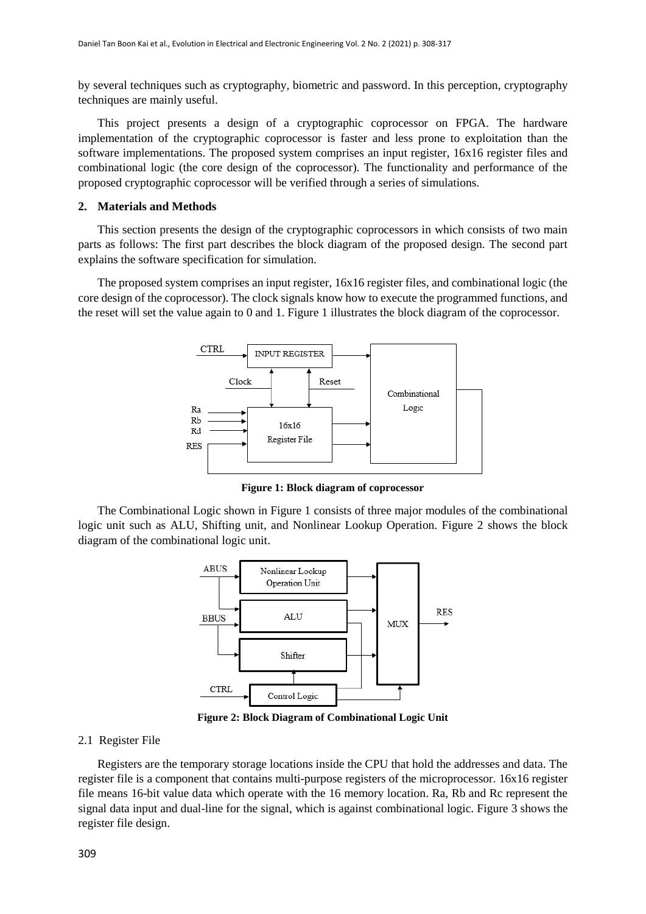by several techniques such as cryptography, biometric and password. In this perception, cryptography techniques are mainly useful.

This project presents a design of a cryptographic coprocessor on FPGA. The hardware implementation of the cryptographic coprocessor is faster and less prone to exploitation than the software implementations. The proposed system comprises an input register, 16x16 register files and combinational logic (the core design of the coprocessor). The functionality and performance of the proposed cryptographic coprocessor will be verified through a series of simulations.

#### **2. Materials and Methods**

This section presents the design of the cryptographic coprocessors in which consists of two main parts as follows: The first part describes the block diagram of the proposed design. The second part explains the software specification for simulation.

The proposed system comprises an input register, 16x16 register files, and combinational logic (the core design of the coprocessor). The clock signals know how to execute the programmed functions, and the reset will set the value again to 0 and 1. Figure 1 illustrates the block diagram of the coprocessor.



**Figure 1: Block diagram of coprocessor**

The Combinational Logic shown in Figure 1 consists of three major modules of the combinational logic unit such as ALU, Shifting unit, and Nonlinear Lookup Operation. Figure 2 shows the block diagram of the combinational logic unit.



**Figure 2: Block Diagram of Combinational Logic Unit**

#### 2.1 Register File

Registers are the temporary storage locations inside the CPU that hold the addresses and data. The register file is a component that contains multi-purpose registers of the microprocessor. 16x16 register file means 16-bit value data which operate with the 16 memory location. Ra, Rb and Rc represent the signal data input and dual-line for the signal, which is against combinational logic. Figure 3 shows the register file design.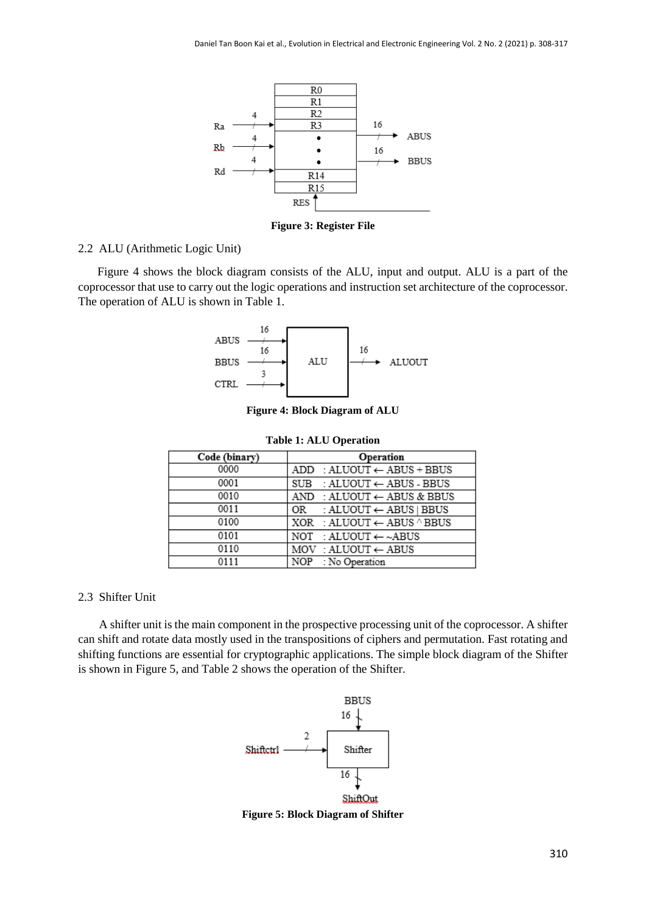

**Figure 3: Register File**

#### 2.2 ALU (Arithmetic Logic Unit)

Figure 4 shows the block diagram consists of the ALU, input and output. ALU is a part of the coprocessor that use to carry out the logic operations and instruction set architecture of the coprocessor. The operation of ALU is shown in Table 1.



**Figure 4: Block Diagram of ALU**

|  |  |  |  | <b>Table 1: ALU Operation</b> |
|--|--|--|--|-------------------------------|
|--|--|--|--|-------------------------------|

| Code (binary) | Operation                                       |
|---------------|-------------------------------------------------|
| 0000          | $ADD : ALUOUT \leftarrow ABUS + BBUS$           |
| 0001          | $SUB : ALUOUT \leftarrow ABUS - BBUS$           |
| 0010          | AND : ALUOUT $\leftarrow$ ABUS & BBUS           |
| 0011          | OR : ALUOUT $\leftarrow$ ABUS   BBUS            |
| 0100          | XOR : ALUOUT $\leftarrow$ ABUS $^{\wedge}$ BBUS |
| 0101          | NOT : ALUOUT $\leftarrow \sim$ ABUS             |
| 0110          | $MOV : ALUOUT \leftarrow ABUS$                  |
| 0111          | NOP : No Operation                              |

#### 2.3 Shifter Unit

 A shifter unit is the main component in the prospective processing unit of the coprocessor. A shifter can shift and rotate data mostly used in the transpositions of ciphers and permutation. Fast rotating and shifting functions are essential for cryptographic applications. The simple block diagram of the Shifter is shown in Figure 5, and Table 2 shows the operation of the Shifter.



**Figure 5: Block Diagram of Shifter**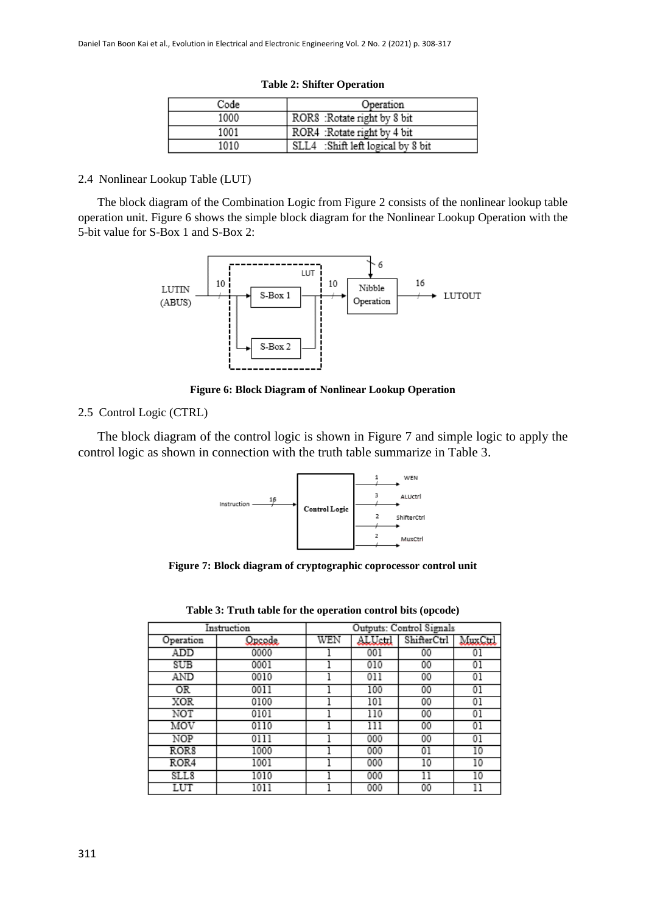| Code | Operation                         |
|------|-----------------------------------|
| 1000 | ROR8 : Rotate right by 8 bit      |
| 1001 | ROR4 : Rotate right by 4 bit      |
| 1010 | SLL4 :Shift left logical by 8 bit |

#### **Table 2: Shifter Operation**

#### 2.4 Nonlinear Lookup Table (LUT)

The block diagram of the Combination Logic from Figure 2 consists of the nonlinear lookup table operation unit. Figure 6 shows the simple block diagram for the Nonlinear Lookup Operation with the 5-bit value for S-Box 1 and S-Box 2:



**Figure 6: Block Diagram of Nonlinear Lookup Operation**

## 2.5 Control Logic (CTRL)

The block diagram of the control logic is shown in Figure 7 and simple logic to apply the control logic as shown in connection with the truth table summarize in Table 3.



**Figure 7: Block diagram of cryptographic coprocessor control unit**

|                  | Instruction | Outputs: Control Signals |         |             |         |  |  |  |
|------------------|-------------|--------------------------|---------|-------------|---------|--|--|--|
| Operation        | Queede      | WEN                      | ALUctrl | ShifterCtrl | MuxCtrl |  |  |  |
| ADD              | 0000        |                          | 001     | 00          | 01      |  |  |  |
| SUB              | 0001        |                          | 010     | 00          | 01      |  |  |  |
| AND              | 0010        |                          | 011     | 00          | $^{01}$ |  |  |  |
| ΟR               | 0011        |                          | 100     | 00          | 01      |  |  |  |
| XOR              | 0100        |                          | 101     | 00          | $_{01}$ |  |  |  |
| NOT              | 0101        |                          | 110     | 00          | 01      |  |  |  |
| MOV              | 0110        |                          | 111     | 00          | $_{01}$ |  |  |  |
| NOP              | 0111        |                          | 000     | 00          | 01      |  |  |  |
| ROR <sub>8</sub> | 1000        |                          | 000     | $^{01}$     | 10      |  |  |  |
| ROR4             | 1001        |                          | 000     | 10          | 10      |  |  |  |
| SLL8             | 1010        |                          | 000     | 11          | 10      |  |  |  |
| LUT              | 1011        |                          | 000     | 00          |         |  |  |  |

**Table 3: Truth table for the operation control bits (opcode)**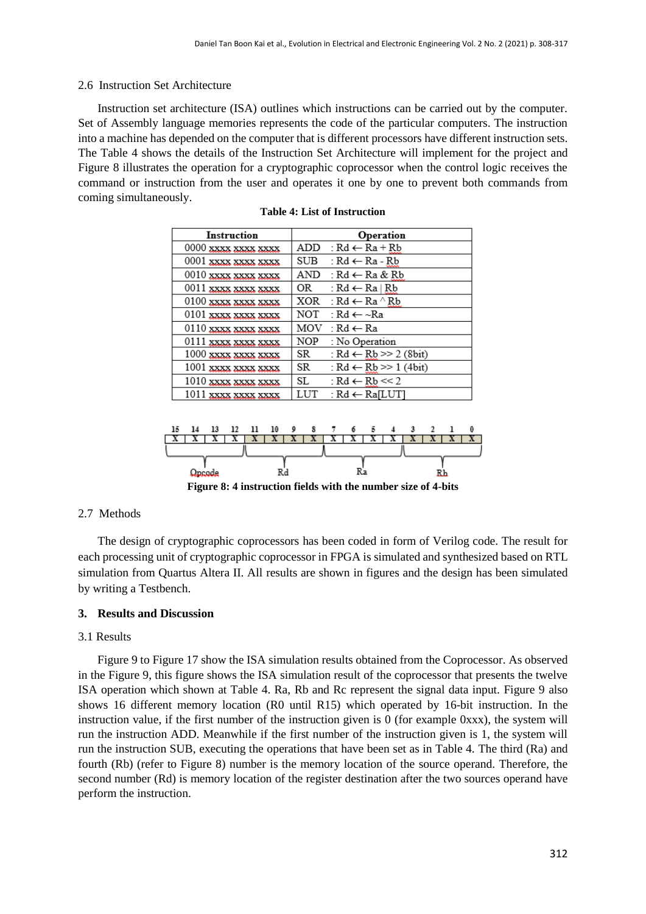### 2.6 Instruction Set Architecture

Instruction set architecture (ISA) outlines which instructions can be carried out by the computer. Set of Assembly language memories represents the code of the particular computers. The instruction into a machine has depended on the computer that is different processors have different instruction sets. The Table 4 shows the details of the Instruction Set Architecture will implement for the project and Figure 8 illustrates the operation for a cryptographic coprocessor when the control logic receives the command or instruction from the user and operates it one by one to prevent both commands from coming simultaneously.

| Instruction           |     | Operation                         |
|-----------------------|-----|-----------------------------------|
| 0000 xxxx xxxx xxxx   |     | ADD : $Rd \leftarrow Ra + Rb$     |
| 0001 xxxx xxxx xxxx   | SUB | : Rd ← Ra - Rb                    |
| 0010 xxxx xxxx xxxx   | AND | ∶Rd ← Ra & Rb                     |
| 0011 xxxx xxxx xxxx   | OR  | : Rd ← Ra   Rb                    |
| 0100 xxxx xxxx xxxx   | XOR | ∶Rd ← Ra ^ Rb                     |
| 0101 xxxx xxxx xxxx   | NOT | ∵Rd ← ~Ra                         |
| 0110 xxxx xxxx xxxx   | MOV | ∶Rd ← Ra                          |
| 0111 xxxx xxxx xxxx   | NOP | : No Operation                    |
| 1000 xxxx xxxx xxxx   | SR  | : $Rd \leftarrow Rb \gg 2$ (8bit) |
| 1001 xxxx xxxx xxxx   | SR  | : $Rd \leftarrow Rb \gg 1$ (4bit) |
| $1010$ xxxx xxxx xxxx | SL. | : $Rd \leftarrow Rb \ll 2$        |
| 1011 xxxx xxxx xxxx   | LUT | : $Rd \leftarrow Ra[LUT]$         |

|  |  | <b>Table 4: List of Instruction</b> |
|--|--|-------------------------------------|
|  |  |                                     |



**Figure 8: 4 instruction fields with the number size of 4-bits**

#### 2.7 Methods

The design of cryptographic coprocessors has been coded in form of Verilog code. The result for each processing unit of cryptographic coprocessor in FPGA is simulated and synthesized based on RTL simulation from Quartus Altera II. All results are shown in figures and the design has been simulated by writing a Testbench.

#### **3. Results and Discussion**

#### 3.1 Results

Figure 9 to Figure 17 show the ISA simulation results obtained from the Coprocessor. As observed in the Figure 9, this figure shows the ISA simulation result of the coprocessor that presents the twelve ISA operation which shown at Table 4. Ra, Rb and Rc represent the signal data input. Figure 9 also shows 16 different memory location (R0 until R15) which operated by 16-bit instruction. In the instruction value, if the first number of the instruction given is 0 (for example 0xxx), the system will run the instruction ADD. Meanwhile if the first number of the instruction given is 1, the system will run the instruction SUB, executing the operations that have been set as in Table 4. The third (Ra) and fourth (Rb) (refer to Figure 8) number is the memory location of the source operand. Therefore, the second number (Rd) is memory location of the register destination after the two sources operand have perform the instruction.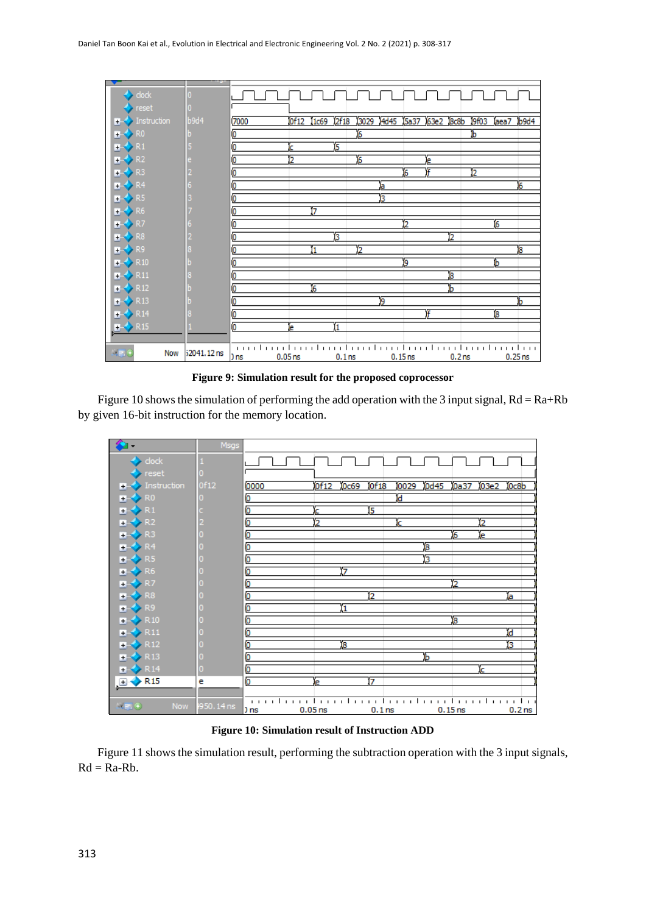| $\blacktriangleright$ clock |             |      |                      |                |                   |                |      |                      |           |                   |      |      |                |
|-----------------------------|-------------|------|----------------------|----------------|-------------------|----------------|------|----------------------|-----------|-------------------|------|------|----------------|
| reset                       |             |      |                      |                |                   |                |      |                      |           |                   |      |      |                |
| $\blacksquare$ Instruction  | b9d4        | 7000 | 0f12                 | 1c69           | 2f18              | 3029           | 4d45 | <b>5a37</b>          | 63e2 8c8b |                   | 9f03 | aea7 | b9d4           |
| $\rightarrow$ RO            |             | О    |                      |                |                   | $\overline{6}$ |      |                      |           |                   | ь    |      |                |
| $\rightarrow$ R1            |             | 0    |                      | 15             |                   |                |      |                      |           |                   |      |      |                |
| $\rightarrow$ R2            |             | 0    | 2                    |                |                   | $\overline{6}$ |      |                      | e         |                   |      |      |                |
| $\rightarrow$ R3            |             | 0    |                      |                |                   |                |      | 6                    | ۱F        |                   | 12   |      |                |
| $R2$ R4                     |             | 0    |                      |                |                   |                | ľа   |                      |           |                   |      |      | $\overline{6}$ |
| $\rightarrow$ R5            |             | 0    |                      |                |                   |                | Б    |                      |           |                   |      |      |                |
| $\rightarrow$ R6            |             | 0    |                      | ۳7             |                   |                |      |                      |           |                   |      |      |                |
| $\rightarrow$ R7            |             | 0    |                      |                |                   |                |      | 2                    |           |                   |      | 16   |                |
| $\rightarrow$ R8            |             | 0    |                      | Б              |                   |                |      |                      |           | 12                |      |      |                |
| $H + 8.89$                  |             | Ю    |                      |                |                   | 12             |      |                      |           |                   |      |      | 8              |
| $\rightarrow$ R10           |             | 0    |                      |                |                   |                |      | 9                    |           |                   |      | ь    |                |
| $\rightarrow$ R11           |             | 0    |                      |                |                   |                |      |                      |           | 18                |      |      |                |
| $\rightarrow$ R12           |             | 0    |                      | $\overline{6}$ |                   |                |      |                      |           | ь                 |      |      |                |
| $\rightarrow$ R13           |             | 0    |                      |                |                   |                | 19   |                      |           |                   |      |      | h              |
| $\rightarrow$ R14           |             | 0    |                      |                |                   |                |      |                      | F         |                   |      | 18   |                |
| $\rightarrow$ R15           |             | Ō    | e                    |                |                   |                |      |                      |           |                   |      |      |                |
|                             |             |      |                      |                |                   |                |      |                      |           |                   |      |      |                |
| $x = 0$<br>Now              | 52041.12 ns | D ns | $0.05$ <sub>ns</sub> |                | 0.1 <sub>ns</sub> |                |      | $0.15$ <sub>ns</sub> |           | 0.2 <sub>ns</sub> |      |      | $0.25$ ns      |

**Figure 9: Simulation result for the proposed coprocessor**

Figure 10 shows the simulation of performing the add operation with the 3 input signal,  $Rd = Ra + Rb$ by given 16-bit instruction for the memory location.

|                                        | Msgs       |      |                |      |                   |      |          |           |      |       |                   |
|----------------------------------------|------------|------|----------------|------|-------------------|------|----------|-----------|------|-------|-------------------|
| dock                                   |            |      |                |      |                   |      |          |           |      |       |                   |
| $\blacktriangleright$ reset            |            |      |                |      |                   |      |          |           |      |       |                   |
| Instruction<br>Ŧ.                      | 0f12       | 0000 | 0f12           | 0c69 | 0f18              | 0029 | 0d45     | 0a37      | 03e2 | l0c8b |                   |
| $\rightarrow$ RO                       |            | Ø    |                |      |                   | Ъ    |          |           |      |       |                   |
| $\leftrightarrow$ R1<br>$\mathbf{H}$   |            | Ю    | c              |      | 15                |      |          |           |      |       |                   |
| $\leftrightarrow$ R <sub>2</sub><br>Ŧ. |            | Ō    | $\overline{2}$ |      |                   | k    |          |           | 12   |       |                   |
| $\leftrightarrow$ R3<br>F.             |            | O    |                |      |                   |      |          | 6         | le.  |       |                   |
| $\leftrightarrow$ R4<br>Ŧ.             |            | O    |                |      |                   |      | $\bf{8}$ |           |      |       |                   |
| $\rightarrow$ R5                       |            | o    |                |      |                   |      | з        |           |      |       |                   |
| $\leftrightarrow$ R6<br>Ŧ.             |            | Ю    |                | 17   |                   |      |          |           |      |       |                   |
| $\rightarrow$ R7<br>F.                 |            | О    |                |      |                   |      |          | 2         |      |       |                   |
| $\leftrightarrow$ R <sub>8</sub><br>Ŧ. |            | o    |                |      | 12                |      |          |           |      | ъ     |                   |
| $\rightarrow$ R9                       |            | о    |                | 1    |                   |      |          |           |      |       |                   |
| $\triangleright$ R10<br>Ŧ.             |            | o    |                |      |                   |      |          | 8         |      |       |                   |
| $\leftrightarrow$ R11<br>Ŧ.            |            | б    |                |      |                   |      |          |           |      | Ъ     |                   |
| $\leftrightarrow$ R12<br>Ŧ.            |            | o    |                | 18   |                   |      |          |           |      | 3     |                   |
| $\blacktriangleright$ R13<br>H.        |            | o    |                |      |                   |      | Ъ        |           |      |       |                   |
| $\rightarrow$ R <sub>14</sub>          | Ω          | ō    |                |      |                   |      |          |           | ic.  |       |                   |
| <b>R15</b><br>Ξ                        | e          | ō    | e              |      | 17                |      |          |           |      |       |                   |
|                                        |            |      |                |      |                   |      |          |           |      |       |                   |
| $E = 0$<br><b>Now</b>                  | 1950.14 ns | ) ns | $0.05$ ns      |      | 0.1 <sub>ns</sub> |      |          | $0.15$ ns |      |       | 0.2 <sub>ns</sub> |

**Figure 10: Simulation result of Instruction ADD**

Figure 11 shows the simulation result, performing the subtraction operation with the 3 input signals,  $Rd = Ra-Rb$ .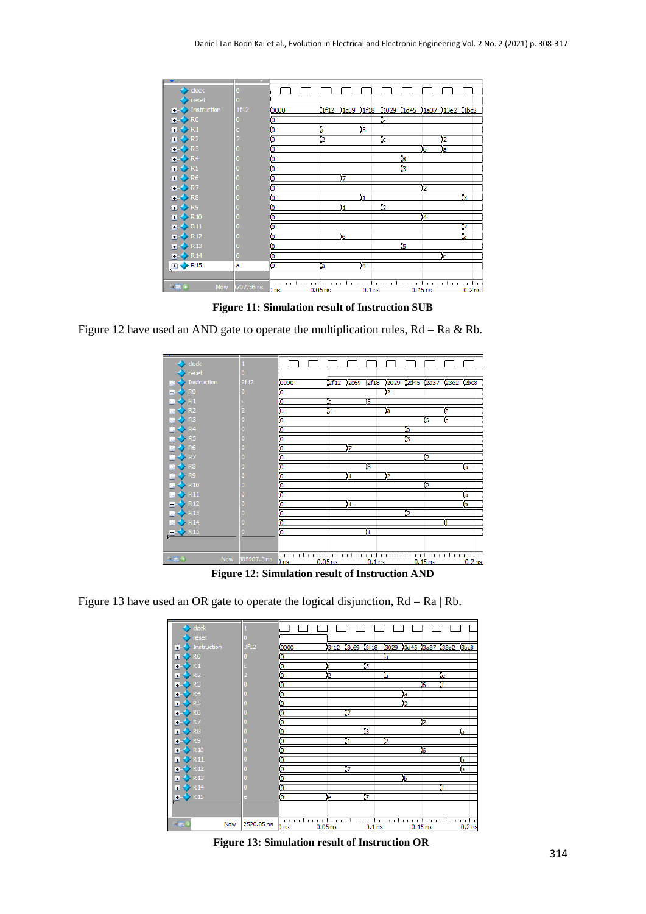

**Figure 11: Simulation result of Instruction SUB**

Figure 12 have used an AND gate to operate the multiplication rules,  $Rd = Ra \& Rb$ .



**Figure 12: Simulation result of Instruction AND**

Figure 13 have used an OR gate to operate the logical disjunction,  $Rd = Ra | Rb$ .

| clock                                       |            |                                                                                     |
|---------------------------------------------|------------|-------------------------------------------------------------------------------------|
| reset                                       |            |                                                                                     |
| Instruction<br>$+1$                         | 3f12       | 13029 13d45 13a37 133e2 13bc8<br>3f18<br>3f12<br>3c69<br>0000                       |
| > 50<br>$+ -$                               |            | б<br>la                                                                             |
| > 12<br>$+1$                                |            | б<br>15<br>ċ                                                                        |
| $\rightarrow$ R2                            |            | Ю<br>2<br>ïа<br>ĺе                                                                  |
| $\leftrightarrow$ R3<br>$+$                 |            | Ю<br>f<br>6                                                                         |
| $\blacktriangleright$ R4<br>$+1$            |            | о<br>a                                                                              |
| $\rightarrow$ R5                            |            | о<br>з                                                                              |
| $\blacktriangleright$ R6<br>$+$             |            | ō<br>17                                                                             |
| $\leftrightarrow$ R7<br>$+ -$               |            | Ю<br>2                                                                              |
| $\rightarrow$ R8                            |            | 3<br>o<br>ïа                                                                        |
| <b>S</b> R9<br>$+1$                         |            | 12<br>o<br>Ï1                                                                       |
| $\blacktriangleright$ R <sub>10</sub><br>Ŧ. |            | ō<br>6                                                                              |
| $\rightarrow$ R11                           |            | Ō<br>Ъ                                                                              |
| $\triangleright$ R12<br>$+$                 |            | Ō<br>7<br>Ъ                                                                         |
| $\leftrightarrow$ R13<br>$+$                |            | б<br>ь                                                                              |
| $\rightarrow$ R14                           |            | Ϊf<br>Ō                                                                             |
| $\rightarrow$ R15                           |            | 17<br>б<br>e                                                                        |
|                                             |            |                                                                                     |
|                                             |            |                                                                                     |
| $-569$<br>Now                               | 2520.05 ns | $0.05$ <sub>ns</sub><br>$0.15$ ns<br>0.2 <sub>ns</sub><br>0.1 <sub>ns</sub><br>) ns |
|                                             |            |                                                                                     |

**Figure 13: Simulation result of Instruction OR**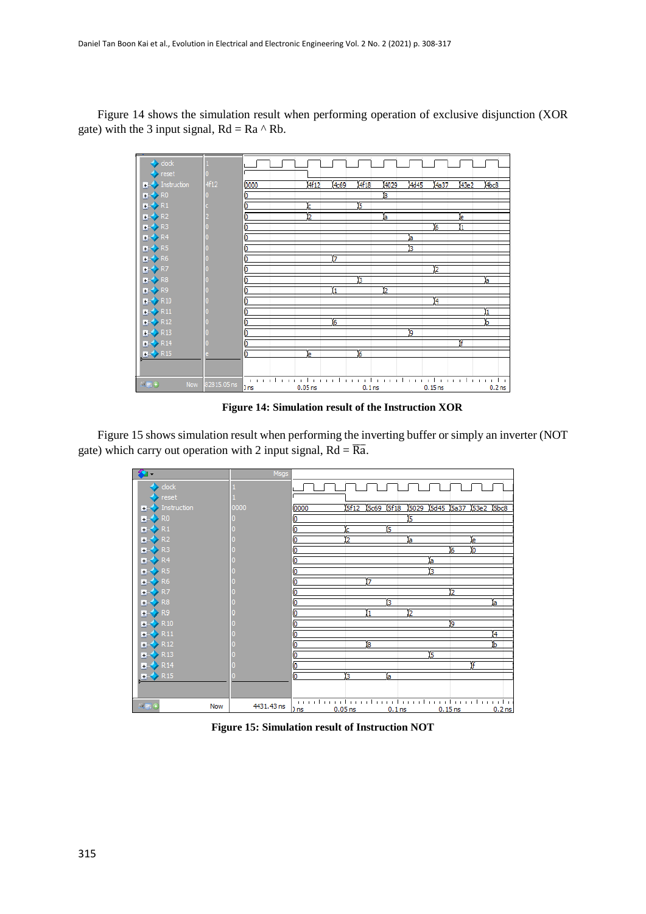Figure 14 shows the simulation result when performing operation of exclusive disjunction (XOR gate) with the 3 input signal,  $Rd = Ra \wedge Rb$ .



**Figure 14: Simulation result of the Instruction XOR**

Figure 15 shows simulation result when performing the inverting buffer or simply an inverter (NOT gate) which carry out operation with 2 input signal,  $Rd = \overline{Ra}$ .



**Figure 15: Simulation result of Instruction NOT**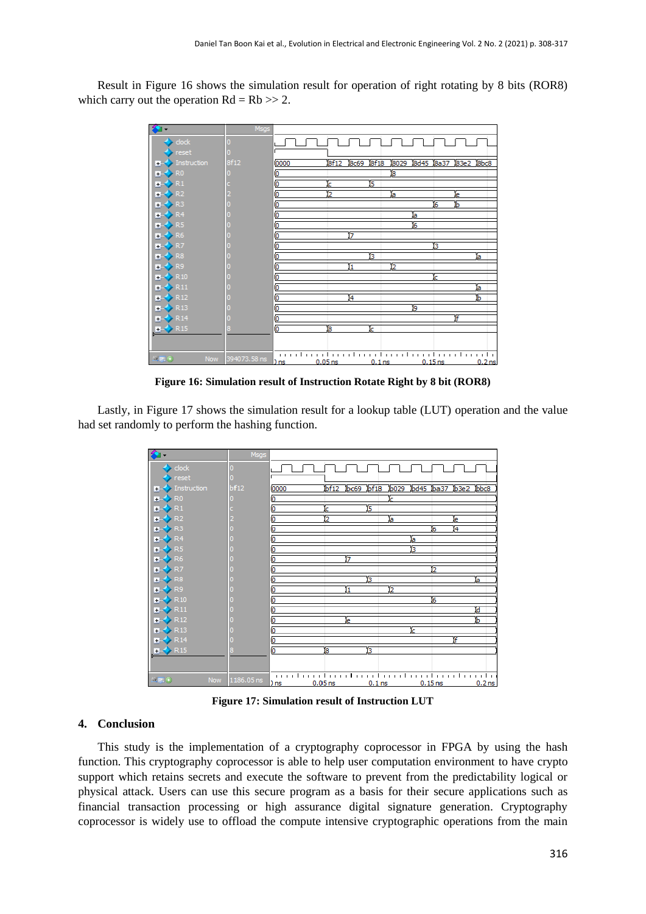Result in Figure 16 shows the simulation result for operation of right rotating by 8 bits (ROR8) which carry out the operation  $Rd = Rb \gg 2$ .



**Figure 16: Simulation result of Instruction Rotate Right by 8 bit (ROR8)**

Lastly, in Figure 17 shows the simulation result for a lookup table (LUT) operation and the value had set randomly to perform the hashing function.



**Figure 17: Simulation result of Instruction LUT**

#### **4. Conclusion**

This study is the implementation of a cryptography coprocessor in FPGA by using the hash function. This cryptography coprocessor is able to help user computation environment to have crypto support which retains secrets and execute the software to prevent from the predictability logical or physical attack. Users can use this secure program as a basis for their secure applications such as financial transaction processing or high assurance digital signature generation. Cryptography coprocessor is widely use to offload the compute intensive cryptographic operations from the main